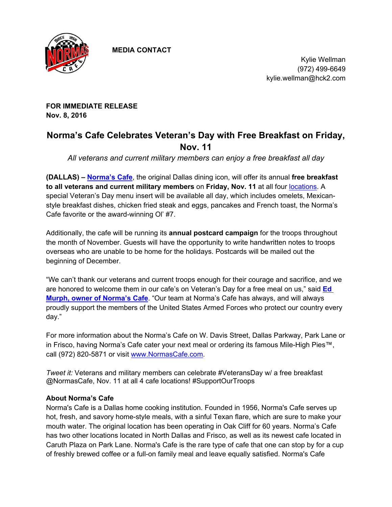

 **MEDIA CONTACT**

Kylie Wellman (972) 499-6649 kylie.wellman@hck2.com

**FOR IMMEDIATE RELEASE Nov. 8, 2016**

## **Norma's Cafe Celebrates Veteran's Day with Free Breakfast on Friday, Nov. 11**

*All veterans and current military members can enjoy a free breakfast all day*

**(DALLAS) – [Norma's Cafe](http://normascafe.com/)**, the original Dallas dining icon, will offer its annual **free breakfast to all veterans and current military members** on **Friday, Nov. 11** at all four [locations](http://normascafe.com/locations/). A special Veteran's Day menu insert will be available all day, which includes omelets, Mexicanstyle breakfast dishes, chicken fried steak and eggs, pancakes and French toast, the Norma's Cafe favorite or the award-winning Ol' #7.

Additionally, the cafe will be running its **annual postcard campaign** for the troops throughout the month of November. Guests will have the opportunity to write handwritten notes to troops overseas who are unable to be home for the holidays. Postcards will be mailed out the beginning of December.

"We can't thank our veterans and current troops enough for their courage and sacrifice, and we are honored to welcome them in our cafe's on Veteran's Day for a free meal on us," said **[Ed](http://www.normascafe.com/about/)  [Murph, owner of Norma's Cafe](http://www.normascafe.com/about/)**. "Our team at Norma's Cafe has always, and will always proudly support the members of the United States Armed Forces who protect our country every day."

For more information about the Norma's Cafe on W. Davis Street, Dallas Parkway, Park Lane or in Frisco, having Norma's Cafe cater your next meal or ordering its famous Mile-High Pies™, call (972) 820-5871 or visit [www.NormasCafe.com](http://www.NormasCafe.com).

*Tweet it:* Veterans and military members can celebrate #VeteransDay w/ a free breakfast @NormasCafe, Nov. 11 at all 4 cafe locations! #SupportOurTroops

## **About Norma's Cafe**

Norma's Cafe is a Dallas home cooking institution. Founded in 1956, Norma's Cafe serves up hot, fresh, and savory home-style meals, with a sinful Texan flare, which are sure to make your mouth water. The original location has been operating in Oak Cliff for 60 years. Norma's Cafe has two other locations located in North Dallas and Frisco, as well as its newest cafe located in Caruth Plaza on Park Lane. Norma's Cafe is the rare type of cafe that one can stop by for a cup of freshly brewed coffee or a full-on family meal and leave equally satisfied. Norma's Cafe